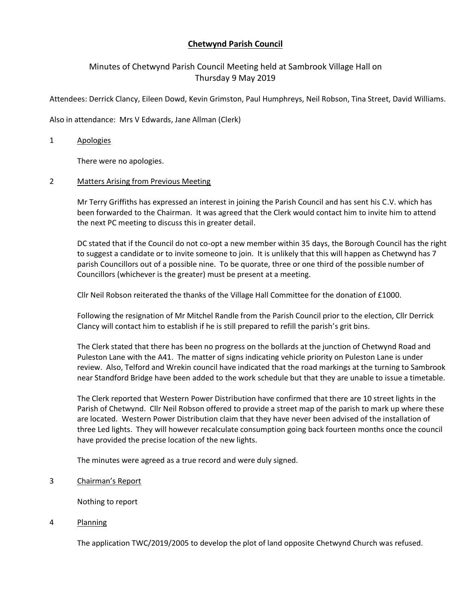# **Chetwynd Parish Council**

# Minutes of Chetwynd Parish Council Meeting held at Sambrook Village Hall on Thursday 9 May 2019

Attendees: Derrick Clancy, Eileen Dowd, Kevin Grimston, Paul Humphreys, Neil Robson, Tina Street, David Williams.

Also in attendance: Mrs V Edwards, Jane Allman (Clerk)

#### 1 Apologies

There were no apologies.

#### 2 Matters Arising from Previous Meeting

Mr Terry Griffiths has expressed an interest in joining the Parish Council and has sent his C.V. which has been forwarded to the Chairman. It was agreed that the Clerk would contact him to invite him to attend the next PC meeting to discuss this in greater detail.

DC stated that if the Council do not co-opt a new member within 35 days, the Borough Council has the right to suggest a candidate or to invite someone to join. It is unlikely that this will happen as Chetwynd has 7 parish Councillors out of a possible nine. To be quorate, three or one third of the possible number of Councillors (whichever is the greater) must be present at a meeting.

Cllr Neil Robson reiterated the thanks of the Village Hall Committee for the donation of £1000.

Following the resignation of Mr Mitchel Randle from the Parish Council prior to the election, Cllr Derrick Clancy will contact him to establish if he is still prepared to refill the parish's grit bins.

The Clerk stated that there has been no progress on the bollards at the junction of Chetwynd Road and Puleston Lane with the A41. The matter of signs indicating vehicle priority on Puleston Lane is under review. Also, Telford and Wrekin council have indicated that the road markings at the turning to Sambrook near Standford Bridge have been added to the work schedule but that they are unable to issue a timetable.

The Clerk reported that Western Power Distribution have confirmed that there are 10 street lights in the Parish of Chetwynd. Cllr Neil Robson offered to provide a street map of the parish to mark up where these are located. Western Power Distribution claim that they have never been advised of the installation of three Led lights. They will however recalculate consumption going back fourteen months once the council have provided the precise location of the new lights.

The minutes were agreed as a true record and were duly signed.

#### 3 Chairman's Report

Nothing to report

4 Planning

The application TWC/2019/2005 to develop the plot of land opposite Chetwynd Church was refused.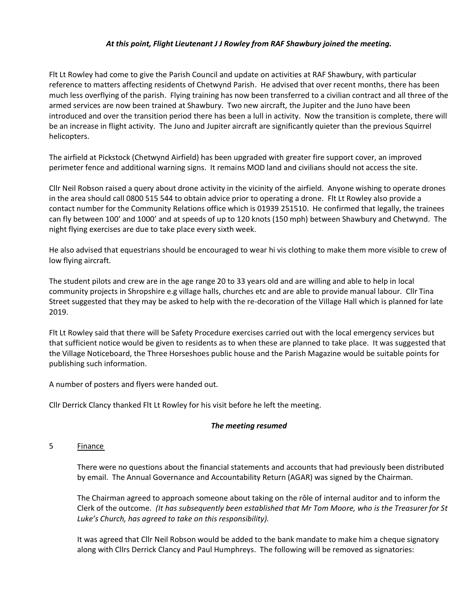## *At this point, Flight Lieutenant J J Rowley from RAF Shawbury joined the meeting.*

Flt Lt Rowley had come to give the Parish Council and update on activities at RAF Shawbury, with particular reference to matters affecting residents of Chetwynd Parish. He advised that over recent months, there has been much less overflying of the parish. Flying training has now been transferred to a civilian contract and all three of the armed services are now been trained at Shawbury. Two new aircraft, the Jupiter and the Juno have been introduced and over the transition period there has been a lull in activity. Now the transition is complete, there will be an increase in flight activity. The Juno and Jupiter aircraft are significantly quieter than the previous Squirrel helicopters.

The airfield at Pickstock (Chetwynd Airfield) has been upgraded with greater fire support cover, an improved perimeter fence and additional warning signs. It remains MOD land and civilians should not access the site.

Cllr Neil Robson raised a query about drone activity in the vicinity of the airfield. Anyone wishing to operate drones in the area should call 0800 515 544 to obtain advice prior to operating a drone. Flt Lt Rowley also provide a contact number for the Community Relations office which is 01939 251510. He confirmed that legally, the trainees can fly between 100' and 1000' and at speeds of up to 120 knots (150 mph) between Shawbury and Chetwynd. The night flying exercises are due to take place every sixth week.

He also advised that equestrians should be encouraged to wear hi vis clothing to make them more visible to crew of low flying aircraft.

The student pilots and crew are in the age range 20 to 33 years old and are willing and able to help in local community projects in Shropshire e.g village halls, churches etc and are able to provide manual labour. Cllr Tina Street suggested that they may be asked to help with the re-decoration of the Village Hall which is planned for late 2019.

Flt Lt Rowley said that there will be Safety Procedure exercises carried out with the local emergency services but that sufficient notice would be given to residents as to when these are planned to take place. It was suggested that the Village Noticeboard, the Three Horseshoes public house and the Parish Magazine would be suitable points for publishing such information.

A number of posters and flyers were handed out.

Cllr Derrick Clancy thanked Flt Lt Rowley for his visit before he left the meeting.

## *The meeting resumed*

## 5 Finance

There were no questions about the financial statements and accounts that had previously been distributed by email. The Annual Governance and Accountability Return (AGAR) was signed by the Chairman.

The Chairman agreed to approach someone about taking on the rôle of internal auditor and to inform the Clerk of the outcome. *(It has subsequently been established that Mr Tom Moore, who is the Treasurer for St Luke's Church, has agreed to take on this responsibility).*

It was agreed that Cllr Neil Robson would be added to the bank mandate to make him a cheque signatory along with Cllrs Derrick Clancy and Paul Humphreys. The following will be removed as signatories: